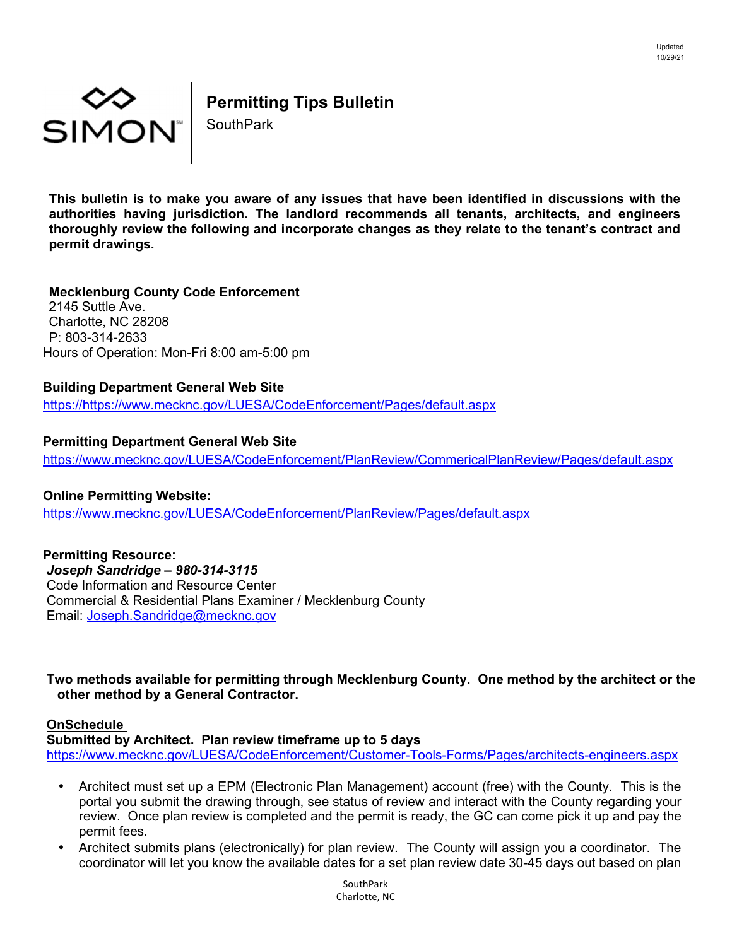

# **Permitting Tips Bulletin**

SouthPark

**This bulletin is to make you aware of any issues that have been identified in discussions with the authorities having jurisdiction. The landlord recommends all tenants, architects, and engineers thoroughly review the following and incorporate changes as they relate to the tenant's contract and permit drawings.** 

**Mecklenburg County Code Enforcement**  2145 Suttle Ave. Charlotte, NC 28208 P: 803-314-2633 Hours of Operation: Mon-Fri 8:00 am-5:00 pm

## **Building Department General Web Site**

https://https://www.mecknc.gov/LUESA/CodeEnforcement/Pages/default.aspx

## **Permitting Department General Web Site**

https://www.mecknc.gov/LUESA/CodeEnforcement/PlanReview/CommericalPlanReview/Pages/default.aspx

#### **Online Permitting Website:**

https://www.mecknc.gov/LUESA/CodeEnforcement/PlanReview/Pages/default.aspx

**Permitting Resource:** 

*Joseph Sandridge – 980-314-3115*  Code Information and Resource Center Commercial & Residential Plans Examiner / Mecklenburg County Email: Joseph.Sandridge@mecknc.gov

### **Two methods available for permitting through Mecklenburg County. One method by the architect or the other method by a General Contractor.**

### **OnSchedule**

**Submitted by Architect. Plan review timeframe up to 5 days**  https://www.mecknc.gov/LUESA/CodeEnforcement/Customer-Tools-Forms/Pages/architects-engineers.aspx

- Architect must set up a EPM (Electronic Plan Management) account (free) with the County. This is the portal you submit the drawing through, see status of review and interact with the County regarding your review. Once plan review is completed and the permit is ready, the GC can come pick it up and pay the permit fees.
- Architect submits plans (electronically) for plan review. The County will assign you a coordinator. The coordinator will let you know the available dates for a set plan review date 30-45 days out based on plan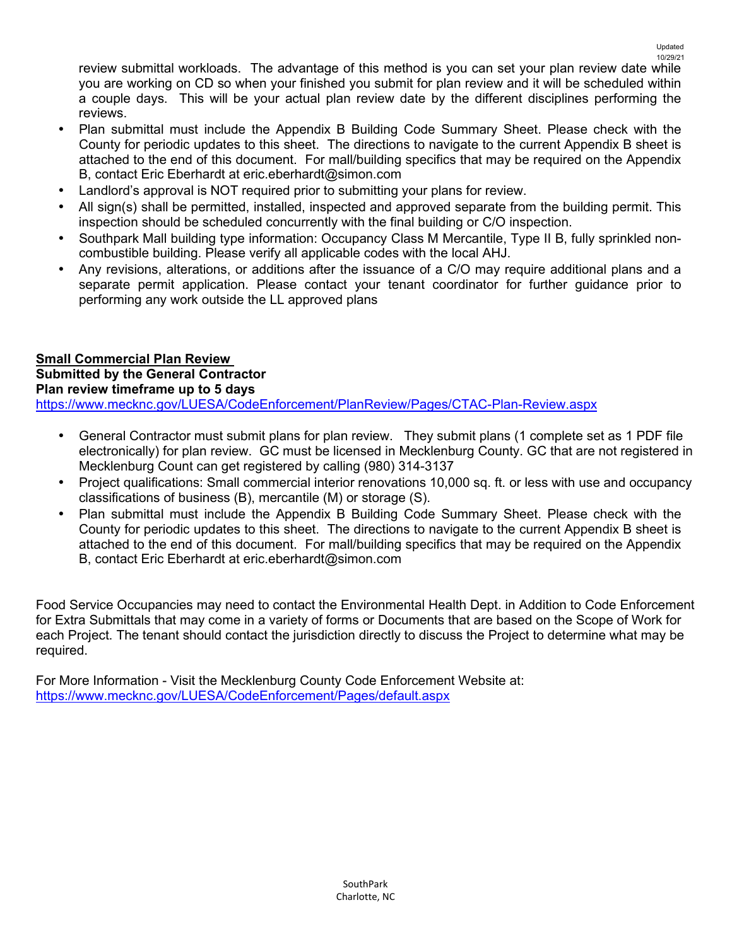review submittal workloads. The advantage of this method is you can set your plan review date while you are working on CD so when your finished you submit for plan review and it will be scheduled within a couple days. This will be your actual plan review date by the different disciplines performing the reviews.

- Plan submittal must include the Appendix B Building Code Summary Sheet. Please check with the County for periodic updates to this sheet. The directions to navigate to the current Appendix B sheet is attached to the end of this document. For mall/building specifics that may be required on the Appendix B, contact Eric Eberhardt at eric.eberhardt@simon.com
- Landlord's approval is NOT required prior to submitting your plans for review.
- All sign(s) shall be permitted, installed, inspected and approved separate from the building permit. This inspection should be scheduled concurrently with the final building or C/O inspection.
- Southpark Mall building type information: Occupancy Class M Mercantile, Type II B, fully sprinkled noncombustible building. Please verify all applicable codes with the local AHJ.
- Any revisions, alterations, or additions after the issuance of a C/O may require additional plans and a separate permit application. Please contact your tenant coordinator for further guidance prior to performing any work outside the LL approved plans

#### **Small Commercial Plan Review Submitted by the General Contractor Plan review timeframe up to 5 days**  https://www.mecknc.gov/LUESA/CodeEnforcement/PlanReview/Pages/CTAC-Plan-Review.aspx

- General Contractor must submit plans for plan review. They submit plans (1 complete set as 1 PDF file electronically) for plan review. GC must be licensed in Mecklenburg County. GC that are not registered in Mecklenburg Count can get registered by calling (980) 314-3137
- Project qualifications: Small commercial interior renovations 10,000 sq. ft. or less with use and occupancy classifications of business (B), mercantile (M) or storage (S).
- Plan submittal must include the Appendix B Building Code Summary Sheet. Please check with the County for periodic updates to this sheet. The directions to navigate to the current Appendix B sheet is attached to the end of this document. For mall/building specifics that may be required on the Appendix B, contact Eric Eberhardt at eric.eberhardt@simon.com

Food Service Occupancies may need to contact the Environmental Health Dept. in Addition to Code Enforcement for Extra Submittals that may come in a variety of forms or Documents that are based on the Scope of Work for each Project. The tenant should contact the jurisdiction directly to discuss the Project to determine what may be required.

For More Information - Visit the Mecklenburg County Code Enforcement Website at: https://www.mecknc.gov/LUESA/CodeEnforcement/Pages/default.aspx